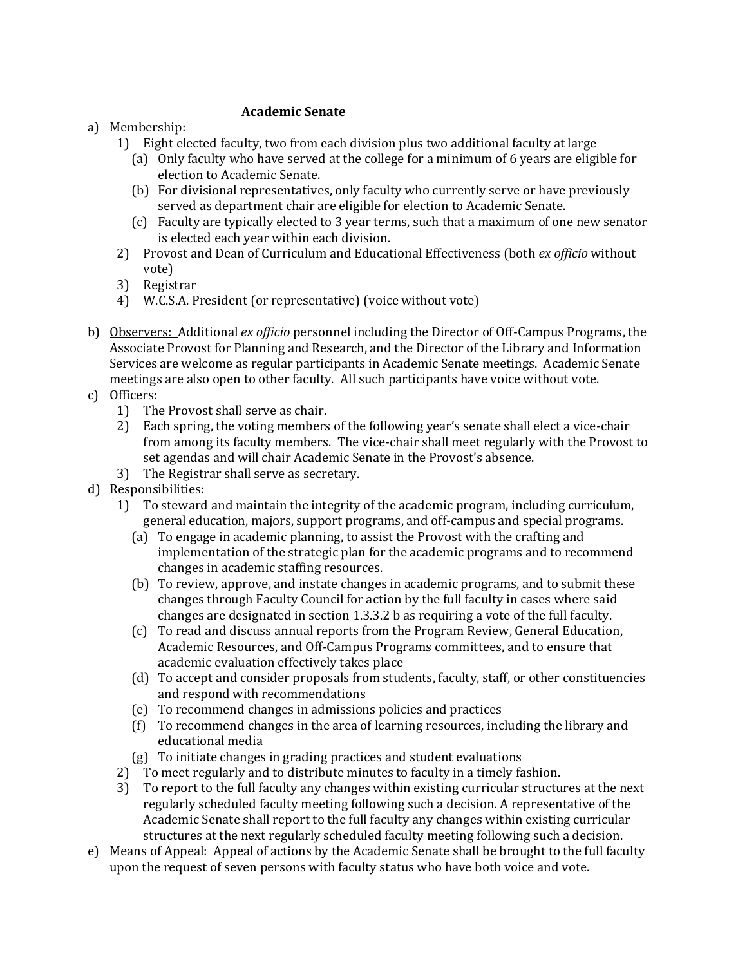#### **Academic Senate**

### a) Membership:

- 1) Eight elected faculty, two from each division plus two additional faculty at large
	- (a) Only faculty who have served at the college for a minimum of 6 years are eligible for election to Academic Senate.
	- (b) For divisional representatives, only faculty who currently serve or have previously served as department chair are eligible for election to Academic Senate.
	- (c) Faculty are typically elected to 3 year terms, such that a maximum of one new senator is elected each year within each division.
- 2) Provost and Dean of Curriculum and Educational Effectiveness (both *ex officio* without vote)
- 3) Registrar
- 4) W.C.S.A. President (or representative) (voice without vote)
- b) Observers: Additional *ex officio* personnel including the Director of Off-Campus Programs, the Associate Provost for Planning and Research, and the Director of the Library and Information Services are welcome as regular participants in Academic Senate meetings. Academic Senate meetings are also open to other faculty. All such participants have voice without vote.
- c) Officers:
	- 1) The Provost shall serve as chair.
	- 2) Each spring, the voting members of the following year's senate shall elect a vice-chair from among its faculty members. The vice-chair shall meet regularly with the Provost to set agendas and will chair Academic Senate in the Provost's absence.
	- 3) The Registrar shall serve as secretary.
- d) Responsibilities:
	- 1) To steward and maintain the integrity of the academic program, including curriculum, general education, majors, support programs, and off-campus and special programs.
		- (a) To engage in academic planning, to assist the Provost with the crafting and implementation of the strategic plan for the academic programs and to recommend changes in academic staffing resources.
		- (b) To review, approve, and instate changes in academic programs, and to submit these changes through Faculty Council for action by the full faculty in cases where said changes are designated in section 1.3.3.2 b as requiring a vote of the full faculty.
		- (c) To read and discuss annual reports from the Program Review, General Education, Academic Resources, and Off-Campus Programs committees, and to ensure that academic evaluation effectively takes place
		- (d) To accept and consider proposals from students, faculty, staff, or other constituencies and respond with recommendations
		- (e) To recommend changes in admissions policies and practices
		- (f) To recommend changes in the area of learning resources, including the library and educational media
		- (g) To initiate changes in grading practices and student evaluations
	- 2) To meet regularly and to distribute minutes to faculty in a timely fashion.
	- 3) To report to the full faculty any changes within existing curricular structures at the next regularly scheduled faculty meeting following such a decision. A representative of the Academic Senate shall report to the full faculty any changes within existing curricular structures at the next regularly scheduled faculty meeting following such a decision.
- e) Means of Appeal: Appeal of actions by the Academic Senate shall be brought to the full faculty upon the request of seven persons with faculty status who have both voice and vote.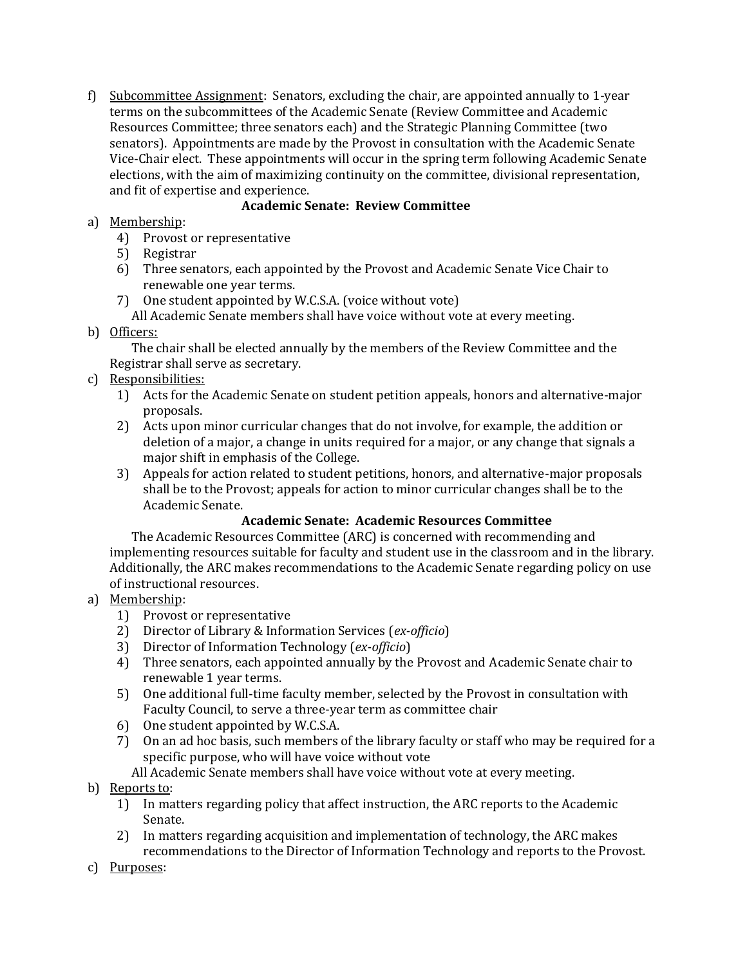f) Subcommittee Assignment: Senators, excluding the chair, are appointed annually to 1-year terms on the subcommittees of the Academic Senate (Review Committee and Academic Resources Committee; three senators each) and the Strategic Planning Committee (two senators). Appointments are made by the Provost in consultation with the Academic Senate Vice-Chair elect. These appointments will occur in the spring term following Academic Senate elections, with the aim of maximizing continuity on the committee, divisional representation, and fit of expertise and experience.

## **Academic Senate: Review Committee**

- a) Membership:
	- 4) Provost or representative
	- 5) Registrar
	- 6) Three senators, each appointed by the Provost and Academic Senate Vice Chair to renewable one year terms.
	- 7) One student appointed by W.C.S.A. (voice without vote) All Academic Senate members shall have voice without vote at every meeting.
- b) Officers:

The chair shall be elected annually by the members of the Review Committee and the Registrar shall serve as secretary.

- c) Responsibilities:
	- 1) Acts for the Academic Senate on student petition appeals, honors and alternative-major proposals.
	- 2) Acts upon minor curricular changes that do not involve, for example, the addition or deletion of a major, a change in units required for a major, or any change that signals a major shift in emphasis of the College.
	- 3) Appeals for action related to student petitions, honors, and alternative-major proposals shall be to the Provost; appeals for action to minor curricular changes shall be to the Academic Senate.

### **Academic Senate: Academic Resources Committee**

The Academic Resources Committee (ARC) is concerned with recommending and implementing resources suitable for faculty and student use in the classroom and in the library. Additionally, the ARC makes recommendations to the Academic Senate regarding policy on use of instructional resources.

- a) Membership:
	- 1) Provost or representative
	- 2) Director of Library & Information Services (*ex-officio*)
	- 3) Director of Information Technology (*ex-officio*)
	- 4) Three senators, each appointed annually by the Provost and Academic Senate chair to renewable 1 year terms.
	- 5) One additional full-time faculty member, selected by the Provost in consultation with Faculty Council, to serve a three-year term as committee chair
	- 6) One student appointed by W.C.S.A.
	- 7) On an ad hoc basis, such members of the library faculty or staff who may be required for a specific purpose, who will have voice without vote
		- All Academic Senate members shall have voice without vote at every meeting.

# b) Reports to:

- 1) In matters regarding policy that affect instruction, the ARC reports to the Academic Senate.
- 2) In matters regarding acquisition and implementation of technology, the ARC makes recommendations to the Director of Information Technology and reports to the Provost.
- c) Purposes: